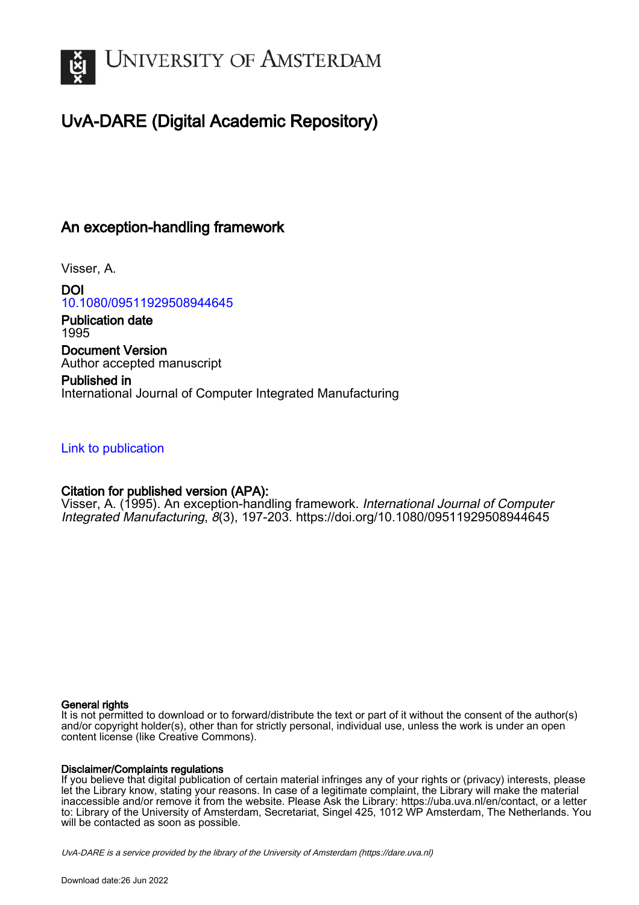

# UvA-DARE (Digital Academic Repository)

## An exception-handling framework

Visser, A.

DOI [10.1080/09511929508944645](https://doi.org/10.1080/09511929508944645)

Publication date 1995 Document Version

Author accepted manuscript

Published in International Journal of Computer Integrated Manufacturing

## [Link to publication](https://dare.uva.nl/personal/pure/en/publications/an-exceptionhandling-framework(3f864689-75d5-4f41-b88f-4ce2b1c2fd1a).html)

## Citation for published version (APA):

Visser, A. (1995). An exception-handling framework. International Journal of Computer Integrated Manufacturing, 8(3), 197-203. <https://doi.org/10.1080/09511929508944645>

#### General rights

It is not permitted to download or to forward/distribute the text or part of it without the consent of the author(s) and/or copyright holder(s), other than for strictly personal, individual use, unless the work is under an open content license (like Creative Commons).

#### Disclaimer/Complaints regulations

If you believe that digital publication of certain material infringes any of your rights or (privacy) interests, please let the Library know, stating your reasons. In case of a legitimate complaint, the Library will make the material inaccessible and/or remove it from the website. Please Ask the Library: https://uba.uva.nl/en/contact, or a letter to: Library of the University of Amsterdam, Secretariat, Singel 425, 1012 WP Amsterdam, The Netherlands. You will be contacted as soon as possible.

UvA-DARE is a service provided by the library of the University of Amsterdam (http*s*://dare.uva.nl)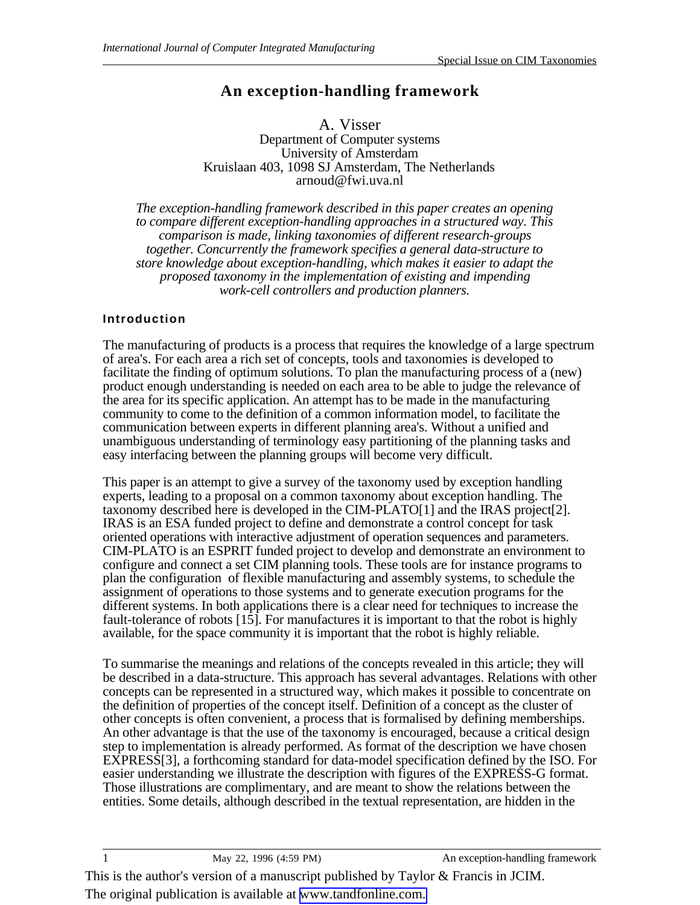## **An exception-handling framework**

A. Visser Department of Computer systems University of Amsterdam Kruislaan 403, 1098 SJ Amsterdam, The Netherlands arnoud@fwi.uva.nl

*The exception-handling framework described in this paper creates an opening to compare different exception-handling approaches in a structured way. This comparison is made, linking taxonomies of different research-groups together. Concurrently the framework specifies a general data-structure to store knowledge about exception-handling, which makes it easier to adapt the proposed taxonomy in the implementation of existing and impending work-cell controllers and production planners.*

## **Introduction**

The manufacturing of products is a process that requires the knowledge of a large spectrum of area's. For each area a rich set of concepts, tools and taxonomies is developed to facilitate the finding of optimum solutions. To plan the manufacturing process of a (new) product enough understanding is needed on each area to be able to judge the relevance of the area for its specific application. An attempt has to be made in the manufacturing community to come to the definition of a common information model, to facilitate the communication between experts in different planning area's. Without a unified and unambiguous understanding of terminology easy partitioning of the planning tasks and easy interfacing between the planning groups will become very difficult.

This paper is an attempt to give a survey of the taxonomy used by exception handling experts, leading to a proposal on a common taxonomy about exception handling. The taxonomy described here is developed in the CIM-PLATO[1] and the IRAS project[2]. IRAS is an ESA funded project to define and demonstrate a control concept for task oriented operations with interactive adjustment of operation sequences and parameters. CIM-PLATO is an ESPRIT funded project to develop and demonstrate an environment to configure and connect a set CIM planning tools. These tools are for instance programs to plan the configuration of flexible manufacturing and assembly systems, to schedule the assignment of operations to those systems and to generate execution programs for the different systems. In both applications there is a clear need for techniques to increase the fault-tolerance of robots [15]. For manufactures it is important to that the robot is highly available, for the space community it is important that the robot is highly reliable.

To summarise the meanings and relations of the concepts revealed in this article; they will be described in a data-structure. This approach has several advantages. Relations with other concepts can be represented in a structured way, which makes it possible to concentrate on the definition of properties of the concept itself. Definition of a concept as the cluster of other concepts is often convenient, a process that is formalised by defining memberships. An other advantage is that the use of the taxonomy is encouraged, because a critical design step to implementation is already performed. As format of the description we have chosen EXPRESS[3], a forthcoming standard for data-model specification defined by the ISO. For easier understanding we illustrate the description with figures of the EXPRESS-G format. Those illustrations are complimentary, and are meant to show the relations between the entities. Some details, although described in the textual representation, are hidden in the

This is the author's version of a manuscript published by Taylor & Francis in JCIM. The original publication is available at [www.tandfonline.com.](http://www.tandfonline.com/doi/abs/10.1080/09511929508944645)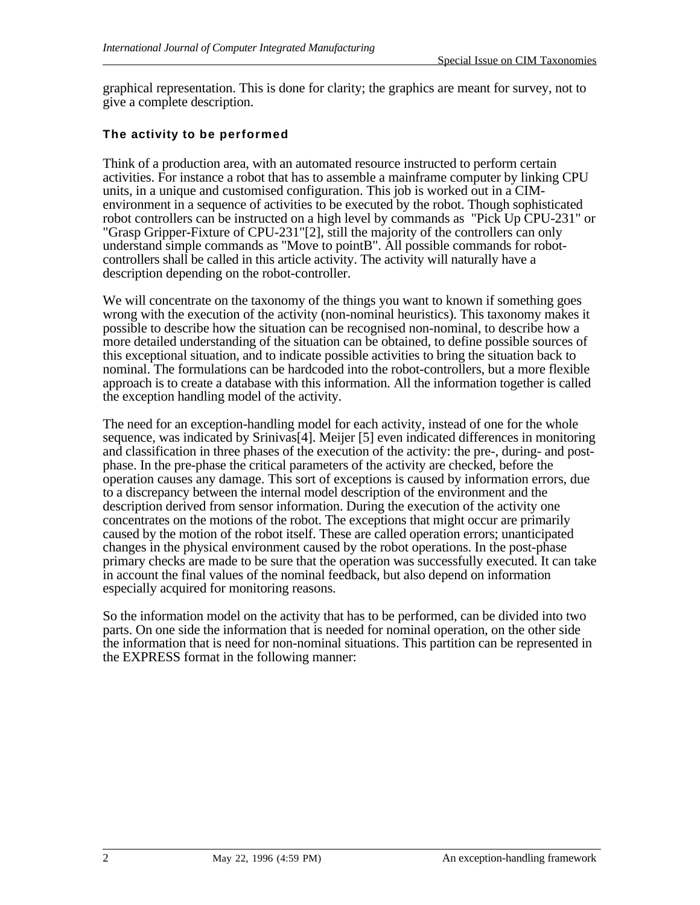graphical representation. This is done for clarity; the graphics are meant for survey, not to give a complete description.

#### **The activity to be performed**

Think of a production area, with an automated resource instructed to perform certain activities. For instance a robot that has to assemble a mainframe computer by linking CPU units, in a unique and customised configuration. This job is worked out in a CIMenvironment in a sequence of activities to be executed by the robot. Though sophisticated robot controllers can be instructed on a high level by commands as "Pick Up CPU-231" or "Grasp Gripper-Fixture of CPU-231"[2], still the majority of the controllers can only understand simple commands as "Move to pointB". All possible commands for robotcontrollers shall be called in this article activity. The activity will naturally have a description depending on the robot-controller.

We will concentrate on the taxonomy of the things you want to known if something goes wrong with the execution of the activity (non-nominal heuristics). This taxonomy makes it possible to describe how the situation can be recognised non-nominal, to describe how a more detailed understanding of the situation can be obtained, to define possible sources of this exceptional situation, and to indicate possible activities to bring the situation back to nominal. The formulations can be hardcoded into the robot-controllers, but a more flexible approach is to create a database with this information. All the information together is called the exception handling model of the activity.

The need for an exception-handling model for each activity, instead of one for the whole sequence, was indicated by Srinivas[4]. Meijer [5] even indicated differences in monitoring and classification in three phases of the execution of the activity: the pre-, during- and postphase. In the pre-phase the critical parameters of the activity are checked, before the operation causes any damage. This sort of exceptions is caused by information errors, due to a discrepancy between the internal model description of the environment and the description derived from sensor information. During the execution of the activity one concentrates on the motions of the robot. The exceptions that might occur are primarily caused by the motion of the robot itself. These are called operation errors; unanticipated changes in the physical environment caused by the robot operations. In the post-phase primary checks are made to be sure that the operation was successfully executed. It can take in account the final values of the nominal feedback, but also depend on information especially acquired for monitoring reasons.

So the information model on the activity that has to be performed, can be divided into two parts. On one side the information that is needed for nominal operation, on the other side the information that is need for non-nominal situations. This partition can be represented in the EXPRESS format in the following manner: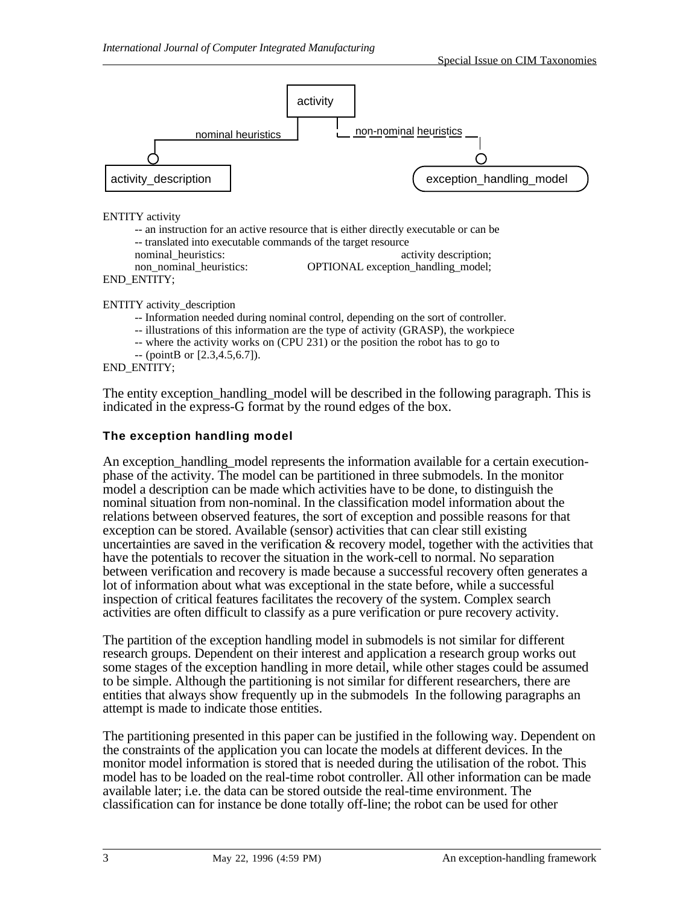

nominal heuristics: activity description; non\_nominal\_heuristics: OPTIONAL exception\_handling\_model;

END\_ENTITY;

ENTITY activity\_description

-- Information needed during nominal control, depending on the sort of controller.

-- illustrations of this information are the type of activity (GRASP), the workpiece

-- where the activity works on (CPU 231) or the position the robot has to go to

 $-$  (point B or [2.3, 4.5, 6.7]).

END\_ENTITY;

The entity exception handling model will be described in the following paragraph. This is indicated in the express-G format by the round edges of the box.

#### **The exception handling model**

An exception handling model represents the information available for a certain executionphase of the activity. The model can be partitioned in three submodels. In the monitor model a description can be made which activities have to be done, to distinguish the nominal situation from non-nominal. In the classification model information about the relations between observed features, the sort of exception and possible reasons for that exception can be stored. Available (sensor) activities that can clear still existing uncertainties are saved in the verification & recovery model, together with the activities that have the potentials to recover the situation in the work-cell to normal. No separation between verification and recovery is made because a successful recovery often generates a lot of information about what was exceptional in the state before, while a successful inspection of critical features facilitates the recovery of the system. Complex search activities are often difficult to classify as a pure verification or pure recovery activity.

The partition of the exception handling model in submodels is not similar for different research groups. Dependent on their interest and application a research group works out some stages of the exception handling in more detail, while other stages could be assumed to be simple. Although the partitioning is not similar for different researchers, there are entities that always show frequently up in the submodels In the following paragraphs an attempt is made to indicate those entities.

The partitioning presented in this paper can be justified in the following way. Dependent on the constraints of the application you can locate the models at different devices. In the monitor model information is stored that is needed during the utilisation of the robot. This model has to be loaded on the real-time robot controller. All other information can be made available later; i.e. the data can be stored outside the real-time environment. The classification can for instance be done totally off-line; the robot can be used for other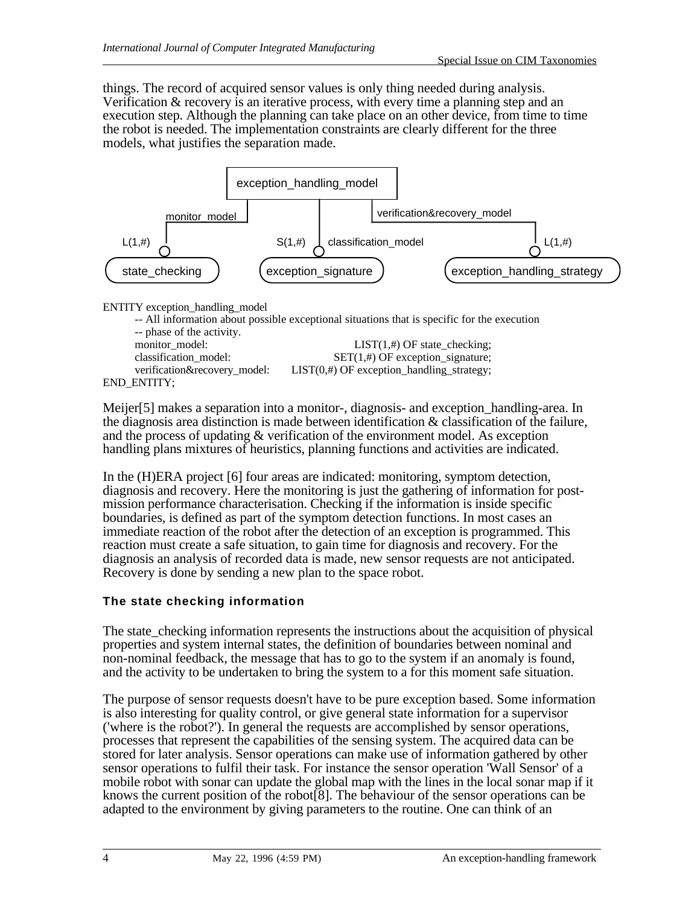things. The record of acquired sensor values is only thing needed during analysis. Verification & recovery is an iterative process, with every time a planning step and an execution step. Although the planning can take place on an other device, from time to time the robot is needed. The implementation constraints are clearly different for the three models, what justifies the separation made.



ENTITY exception\_handling\_model

| -- phase of the activity.    | -- All information about possible exceptional situations that is specific for the execution |
|------------------------------|---------------------------------------------------------------------------------------------|
| monitor model:               | $LIST(1, #)$ OF state_checking;                                                             |
| classification_model:        | $SET(1, #)$ OF exception_signature;                                                         |
| verification&recovery model: | $LIST(0, #)$ OF exception_handling_strategy;                                                |
| END ENTITY;                  |                                                                                             |

Meijer[5] makes a separation into a monitor-, diagnosis- and exception\_handling-area. In the diagnosis area distinction is made between identification & classification of the failure, and the process of updating & verification of the environment model. As exception handling plans mixtures of heuristics, planning functions and activities are indicated.

In the (H)ERA project [6] four areas are indicated: monitoring, symptom detection, diagnosis and recovery. Here the monitoring is just the gathering of information for postmission performance characterisation. Checking if the information is inside specific boundaries, is defined as part of the symptom detection functions. In most cases an immediate reaction of the robot after the detection of an exception is programmed. This reaction must create a safe situation, to gain time for diagnosis and recovery. For the diagnosis an analysis of recorded data is made, new sensor requests are not anticipated. Recovery is done by sending a new plan to the space robot.

## **The state checking information**

The state checking information represents the instructions about the acquisition of physical properties and system internal states, the definition of boundaries between nominal and non-nominal feedback, the message that has to go to the system if an anomaly is found, and the activity to be undertaken to bring the system to a for this moment safe situation.

The purpose of sensor requests doesn't have to be pure exception based. Some information is also interesting for quality control, or give general state information for a supervisor ('where is the robot?'). In general the requests are accomplished by sensor operations, processes that represent the capabilities of the sensing system. The acquired data can be stored for later analysis. Sensor operations can make use of information gathered by other sensor operations to fulfil their task. For instance the sensor operation 'Wall Sensor' of a mobile robot with sonar can update the global map with the lines in the local sonar map if it knows the current position of the robot[8]. The behaviour of the sensor operations can be adapted to the environment by giving parameters to the routine. One can think of an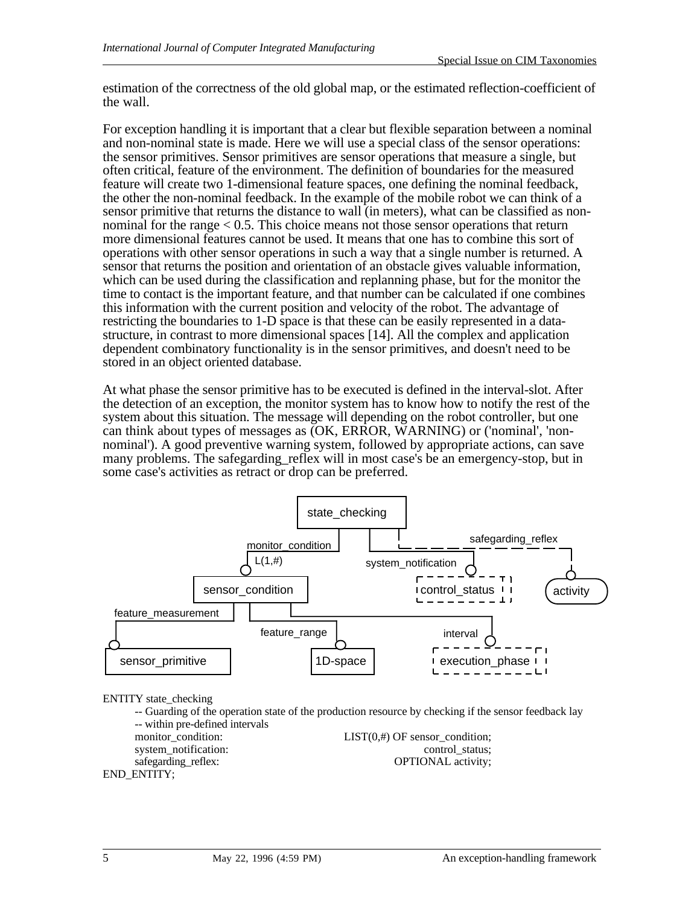estimation of the correctness of the old global map, or the estimated reflection-coefficient of the wall.

For exception handling it is important that a clear but flexible separation between a nominal and non-nominal state is made. Here we will use a special class of the sensor operations: the sensor primitives. Sensor primitives are sensor operations that measure a single, but often critical, feature of the environment. The definition of boundaries for the measured feature will create two 1-dimensional feature spaces, one defining the nominal feedback, the other the non-nominal feedback. In the example of the mobile robot we can think of a sensor primitive that returns the distance to wall (in meters), what can be classified as nonnominal for the range < 0.5. This choice means not those sensor operations that return more dimensional features cannot be used. It means that one has to combine this sort of operations with other sensor operations in such a way that a single number is returned. A sensor that returns the position and orientation of an obstacle gives valuable information, which can be used during the classification and replanning phase, but for the monitor the time to contact is the important feature, and that number can be calculated if one combines this information with the current position and velocity of the robot. The advantage of restricting the boundaries to 1-D space is that these can be easily represented in a datastructure, in contrast to more dimensional spaces [14]. All the complex and application dependent combinatory functionality is in the sensor primitives, and doesn't need to be stored in an object oriented database.

At what phase the sensor primitive has to be executed is defined in the interval-slot. After the detection of an exception, the monitor system has to know how to notify the rest of the system about this situation. The message will depending on the robot controller, but one can think about types of messages as (OK, ERROR, WARNING) or ('nominal', 'nonnominal'). A good preventive warning system, followed by appropriate actions, can save many problems. The safegarding\_reflex will in most case's be an emergency-stop, but in some case's activities as retract or drop can be preferred.



ENTITY state\_checking

-- Guarding of the operation state of the production resource by checking if the sensor feedback lay -- within pre-defined intervals<br>monitor condition:  $LIST(0, #)$  OF sensor\_condition; system\_notification: control\_status;<br>safegarding reflex: COPTIONAL activity; OPTIONAL activity;

```
END_ENTITY;
```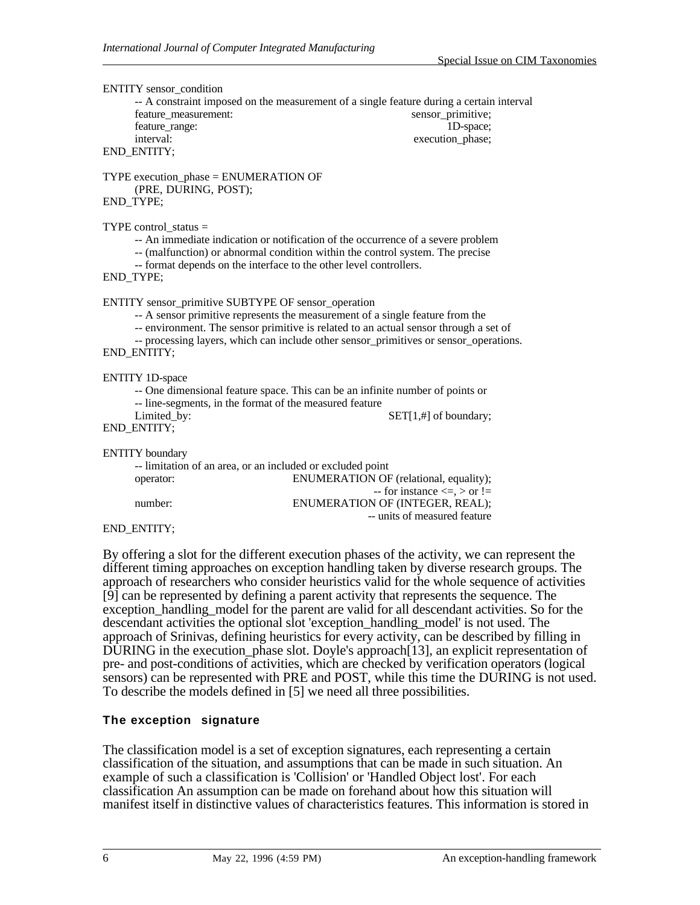ENTITY sensor\_condition

-- A constraint imposed on the measurement of a single feature during a certain interval feature\_measurement: sensor\_primitive; feature range: 1D-space; interval: execution\_phase; END\_ENTITY;

TYPE execution\_phase = ENUMERATION OF (PRE, DURING, POST); END\_TYPE;

TYPE control  $status =$ 

-- An immediate indication or notification of the occurrence of a severe problem

-- (malfunction) or abnormal condition within the control system. The precise

-- format depends on the interface to the other level controllers.

END\_TYPE;

ENTITY sensor\_primitive SUBTYPE OF sensor\_operation

-- A sensor primitive represents the measurement of a single feature from the

-- environment. The sensor primitive is related to an actual sensor through a set of

-- processing layers, which can include other sensor\_primitives or sensor\_operations. END\_ENTITY;

ENTITY 1D-space

-- One dimensional feature space. This can be an infinite number of points or

-- line-segments, in the format of the measured feature

END\_ENTITY;

Limited\_by: SET[1,#] of boundary;

ENTITY boundary

| -- limitation of an area, or an included or excluded point |                                         |
|------------------------------------------------------------|-----------------------------------------|
| operator:                                                  | ENUMERATION OF (relational, equality);  |
|                                                            | $-$ for instance $\leq z$ , $>$ or $!=$ |
| number:                                                    | ENUMERATION OF (INTEGER, REAL);         |
|                                                            | -- units of measured feature            |
| <b>DAMMURY</b>                                             |                                         |

END\_ENTITY;

By offering a slot for the different execution phases of the activity, we can represent the different timing approaches on exception handling taken by diverse research groups. The approach of researchers who consider heuristics valid for the whole sequence of activities [9] can be represented by defining a parent activity that represents the sequence. The exception\_handling\_model for the parent are valid for all descendant activities. So for the descendant activities the optional slot 'exception\_handling\_model' is not used. The approach of Srinivas, defining heuristics for every activity, can be described by filling in DURING in the execution phase slot. Doyle's approach [13], an explicit representation of pre- and post-conditions of activities, which are checked by verification operators (logical sensors) can be represented with PRE and POST, while this time the DURING is not used. To describe the models defined in [5] we need all three possibilities.

#### **The exception signature**

The classification model is a set of exception signatures, each representing a certain classification of the situation, and assumptions that can be made in such situation. An example of such a classification is 'Collision' or 'Handled Object lost'. For each classification An assumption can be made on forehand about how this situation will manifest itself in distinctive values of characteristics features. This information is stored in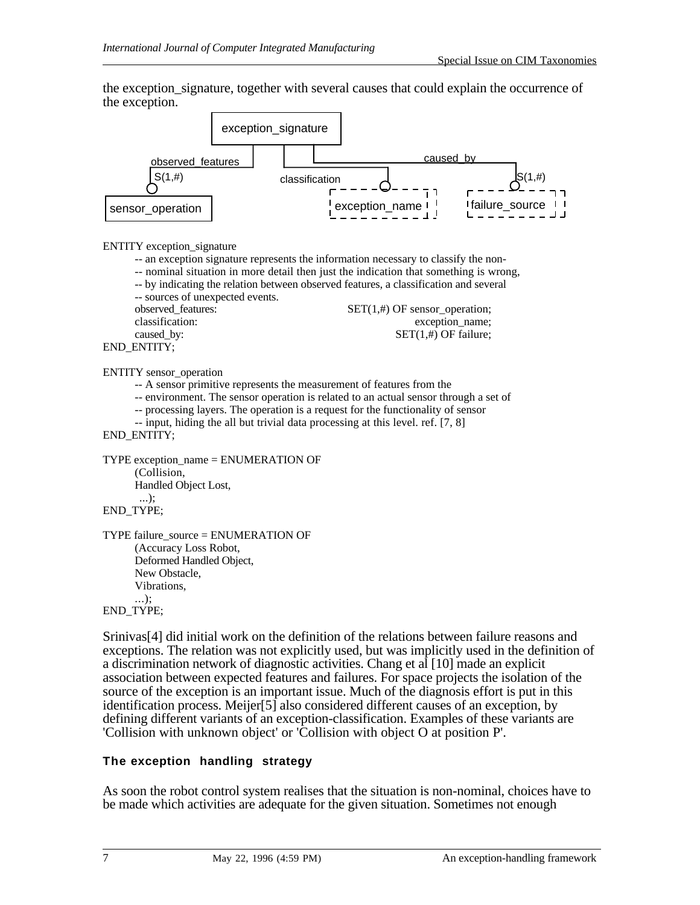the exception\_signature, together with several causes that could explain the occurrence of the exception.



#### ENTITY exception\_signature

-- an exception signature represents the information necessary to classify the non- -- nominal situation in more detail then just the indication that something is wrong, -- by indicating the relation between observed features, a classification and several -- sources of unexpected events.<br>observed features:  $SET(1, #)$  OF sensor\_operation; classification: exception name; caused\_by:  $SET(1, 4)$  OF failure; END\_ENTITY;

#### ENTITY sensor\_operation

- -- A sensor primitive represents the measurement of features from the
- -- environment. The sensor operation is related to an actual sensor through a set of
- -- processing layers. The operation is a request for the functionality of sensor
- -- input, hiding the all but trivial data processing at this level, ref. [7, 8]

#### END\_ENTITY;

```
TYPE exception_name = ENUMERATION OF
(Collision,
Handled Object Lost,
 ...);
```

```
END_TYPE;
```
TYPE failure\_source = ENUMERATION OF (Accuracy Loss Robot, Deformed Handled Object, New Obstacle, Vibrations, ...);

#### END\_TYPE;

Srinivas[4] did initial work on the definition of the relations between failure reasons and exceptions. The relation was not explicitly used, but was implicitly used in the definition of a discrimination network of diagnostic activities. Chang et al [10] made an explicit association between expected features and failures. For space projects the isolation of the source of the exception is an important issue. Much of the diagnosis effort is put in this identification process. Meijer[5] also considered different causes of an exception, by defining different variants of an exception-classification. Examples of these variants are 'Collision with unknown object' or 'Collision with object O at position P'.

#### **The exception handling strategy**

As soon the robot control system realises that the situation is non-nominal, choices have to be made which activities are adequate for the given situation. Sometimes not enough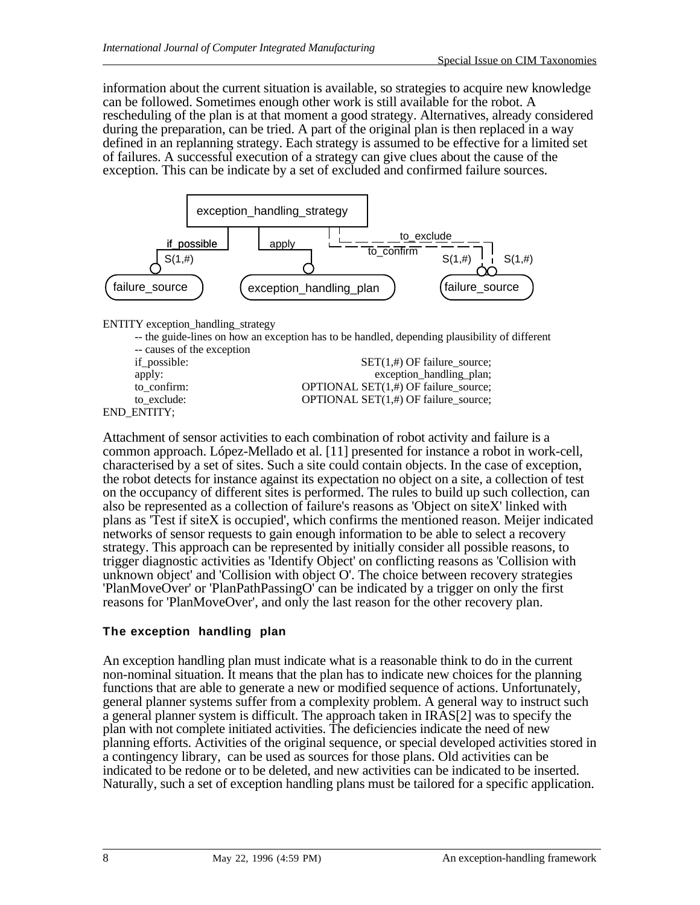information about the current situation is available, so strategies to acquire new knowledge can be followed. Sometimes enough other work is still available for the robot. A rescheduling of the plan is at that moment a good strategy. Alternatives, already considered during the preparation, can be tried. A part of the original plan is then replaced in a way defined in an replanning strategy. Each strategy is assumed to be effective for a limited set of failures. A successful execution of a strategy can give clues about the cause of the exception. This can be indicate by a set of excluded and confirmed failure sources.



ENTITY exception\_handling\_strategy

-- the guide-lines on how an exception has to be handled, depending plausibility of different

-- causes of the exception END\_ENTITY;

if\_possible:  $SET(1, #)$  OF failure\_source; apply: exception\_handling\_plan; to\_confirm: OPTIONAL SET(1,#) OF failure\_source; to\_exclude: OPTIONAL SET(1,#) OF failure\_source;

Attachment of sensor activities to each combination of robot activity and failure is a common approach. López-Mellado et al. [11] presented for instance a robot in work-cell, characterised by a set of sites. Such a site could contain objects. In the case of exception, the robot detects for instance against its expectation no object on a site, a collection of test on the occupancy of different sites is performed. The rules to build up such collection, can also be represented as a collection of failure's reasons as 'Object on siteX' linked with plans as 'Test if siteX is occupied', which confirms the mentioned reason. Meijer indicated networks of sensor requests to gain enough information to be able to select a recovery strategy. This approach can be represented by initially consider all possible reasons, to trigger diagnostic activities as 'Identify Object' on conflicting reasons as 'Collision with unknown object' and 'Collision with object O'. The choice between recovery strategies 'PlanMoveOver' or 'PlanPathPassingO' can be indicated by a trigger on only the first reasons for 'PlanMoveOver', and only the last reason for the other recovery plan.

## **The exception handling plan**

An exception handling plan must indicate what is a reasonable think to do in the current non-nominal situation. It means that the plan has to indicate new choices for the planning functions that are able to generate a new or modified sequence of actions. Unfortunately, general planner systems suffer from a complexity problem. A general way to instruct such a general planner system is difficult. The approach taken in IRAS[2] was to specify the plan with not complete initiated activities. The deficiencies indicate the need of new planning efforts. Activities of the original sequence, or special developed activities stored in a contingency library, can be used as sources for those plans. Old activities can be indicated to be redone or to be deleted, and new activities can be indicated to be inserted. Naturally, such a set of exception handling plans must be tailored for a specific application.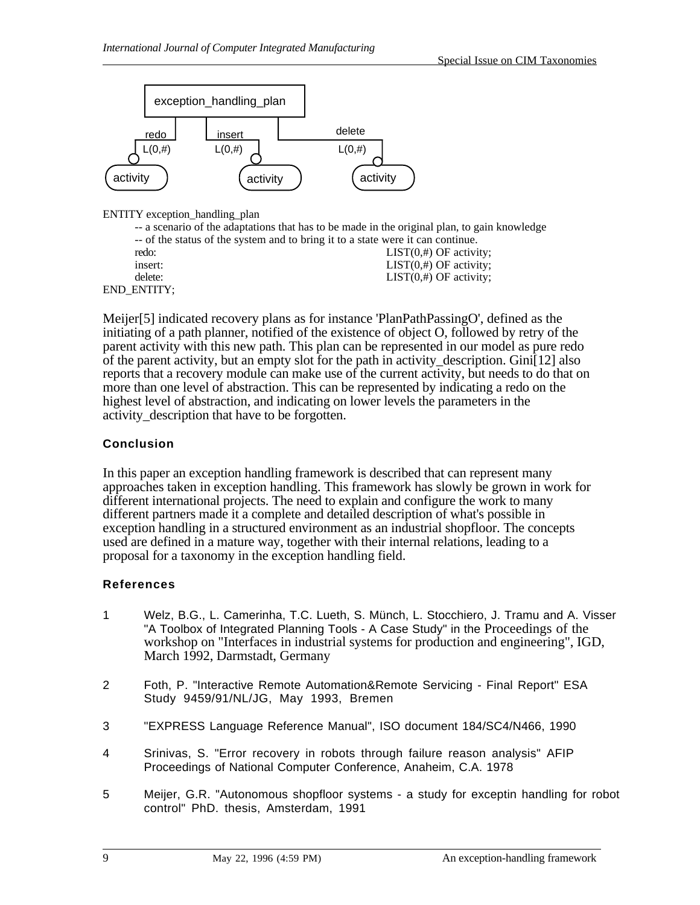

ENTITY exception\_handling\_plan

|                    | -- a scenario of the adaptations that has to be made in the original plan, to gain knowledge |
|--------------------|----------------------------------------------------------------------------------------------|
|                    | -- of the status of the system and to bring it to a state were it can continue.              |
| redo:              | $LIST(0, #)$ OF activity;                                                                    |
| insert:            | $LIST(0, #)$ OF activity;                                                                    |
| delete:            | $LIST(0, #)$ OF activity;                                                                    |
| <b>END ENTITY:</b> |                                                                                              |

Meijer[5] indicated recovery plans as for instance 'PlanPathPassingO', defined as the initiating of a path planner, notified of the existence of object O, followed by retry of the parent activity with this new path. This plan can be represented in our model as pure redo of the parent activity, but an empty slot for the path in activity description. Gini $[12]$  also reports that a recovery module can make use of the current activity, but needs to do that on more than one level of abstraction. This can be represented by indicating a redo on the highest level of abstraction, and indicating on lower levels the parameters in the activity\_description that have to be forgotten.

## **Conclusion**

In this paper an exception handling framework is described that can represent many approaches taken in exception handling. This framework has slowly be grown in work for different international projects. The need to explain and configure the work to many different partners made it a complete and detailed description of what's possible in exception handling in a structured environment as an industrial shopfloor. The concepts used are defined in a mature way, together with their internal relations, leading to a proposal for a taxonomy in the exception handling field.

## **References**

- 1 Welz, B.G., L. Camerinha, T.C. Lueth, S. Münch, L. Stocchiero, J. Tramu and A. Visser "A Toolbox of Integrated Planning Tools - A Case Study" in the Proceedings of the workshop on "Interfaces in industrial systems for production and engineering", IGD, March 1992, Darmstadt, Germany
- 2 Foth, P. "Interactive Remote Automation&Remote Servicing Final Report" ESA Study 9459/91/NL/JG, May 1993, Bremen
- 3 "EXPRESS Language Reference Manual", ISO document 184/SC4/N466, 1990
- 4 Srinivas, S. "Error recovery in robots through failure reason analysis" AFIP Proceedings of National Computer Conference, Anaheim, C.A. 1978
- 5 Meijer, G.R. "Autonomous shopfloor systems a study for exceptin handling for robot control" PhD. thesis, Amsterdam, 1991